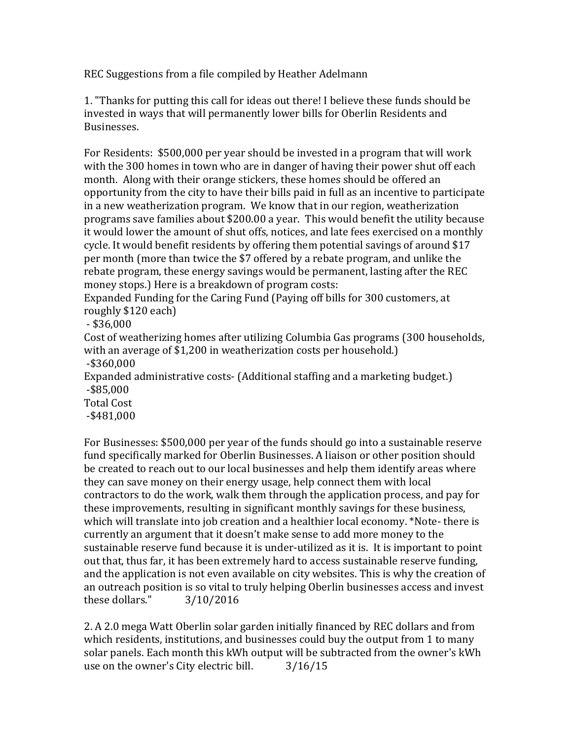REC Suggestions from a file compiled by Heather Adelmann

1. "Thanks for putting this call for ideas out there! I believe these funds should be invested in ways that will permanently lower bills for Oberlin Residents and Businesses.

For Residents: \$500,000 per year should be invested in a program that will work with the 300 homes in town who are in danger of having their power shut off each month. Along with their orange stickers, these homes should be offered an opportunity from the city to have their bills paid in full as an incentive to participate in a new weatherization program. We know that in our region, weatherization programs save families about \$200.00 a year. This would benefit the utility because it would lower the amount of shut offs, notices, and late fees exercised on a monthly cycle. It would benefit residents by offering them potential savings of around \$17 per month (more than twice the \$7 offered by a rebate program, and unlike the rebate program, these energy savings would be permanent, lasting after the REC money stops.) Here is a breakdown of program costs:

Expanded Funding for the Caring Fund (Paying off bills for 300 customers, at roughly \$120 each)

- \$36,000

Cost of weatherizing homes after utilizing Columbia Gas programs (300 households, with an average of \$1,200 in weatherization costs per household.) -\$360,000 Expanded administrative costs- (Additional staffing and a marketing budget.) -\$85,000 Total Cost -\$481,000

For Businesses: \$500,000 per year of the funds should go into a sustainable reserve fund specifically marked for Oberlin Businesses. A liaison or other position should be created to reach out to our local businesses and help them identify areas where they can save money on their energy usage, help connect them with local contractors to do the work, walk them through the application process, and pay for these improvements, resulting in significant monthly savings for these business, which will translate into job creation and a healthier local economy. \*Note- there is currently an argument that it doesn't make sense to add more money to the sustainable reserve fund because it is under-utilized as it is. It is important to point out that, thus far, it has been extremely hard to access sustainable reserve funding, and the application is not even available on city websites. This is why the creation of an outreach position is so vital to truly helping Oberlin businesses access and invest these dollars." 3/10/2016

2. A 2.0 mega Watt Oberlin solar garden initially financed by REC dollars and from which residents, institutions, and businesses could buy the output from 1 to many solar panels. Each month this kWh output will be subtracted from the owner's kWh use on the owner's City electric bill. 3/16/15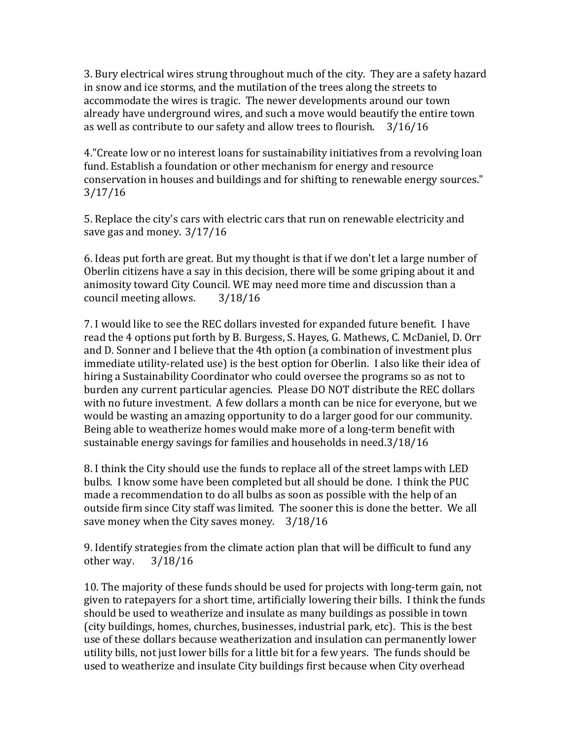3. Bury electrical wires strung throughout much of the city. They are a safety hazard in snow and ice storms, and the mutilation of the trees along the streets to accommodate the wires is tragic. The newer developments around our town already have underground wires, and such a move would beautify the entire town as well as contribute to our safety and allow trees to flourish. 3/16/16

4."Create low or no interest loans for sustainability initiatives from a revolving loan fund. Establish a foundation or other mechanism for energy and resource conservation in houses and buildings and for shifting to renewable energy sources." 3/17/16

5. Replace the city's cars with electric cars that run on renewable electricity and save gas and money. 3/17/16

6. Ideas put forth are great. But my thought is that if we don't let a large number of Oberlin citizens have a say in this decision, there will be some griping about it and animosity toward City Council. WE may need more time and discussion than a council meeting allows. 3/18/16

7. I would like to see the REC dollars invested for expanded future benefit. I have read the 4 options put forth by B. Burgess, S. Hayes, G. Mathews, C. McDaniel, D. Orr and D. Sonner and I believe that the 4th option (a combination of investment plus immediate utility-related use) is the best option for Oberlin. I also like their idea of hiring a Sustainability Coordinator who could oversee the programs so as not to burden any current particular agencies. Please DO NOT distribute the REC dollars with no future investment. A few dollars a month can be nice for everyone, but we would be wasting an amazing opportunity to do a larger good for our community. Being able to weatherize homes would make more of a long-term benefit with sustainable energy savings for families and households in need.3/18/16

8. I think the City should use the funds to replace all of the street lamps with LED bulbs. I know some have been completed but all should be done. I think the PUC made a recommendation to do all bulbs as soon as possible with the help of an outside firm since City staff was limited. The sooner this is done the better. We all save money when the City saves money. 3/18/16

9. Identify strategies from the climate action plan that will be difficult to fund any other way. 3/18/16

10. The majority of these funds should be used for projects with long-term gain, not given to ratepayers for a short time, artificially lowering their bills. I think the funds should be used to weatherize and insulate as many buildings as possible in town (city buildings, homes, churches, businesses, industrial park, etc). This is the best use of these dollars because weatherization and insulation can permanently lower utility bills, not just lower bills for a little bit for a few years. The funds should be used to weatherize and insulate City buildings first because when City overhead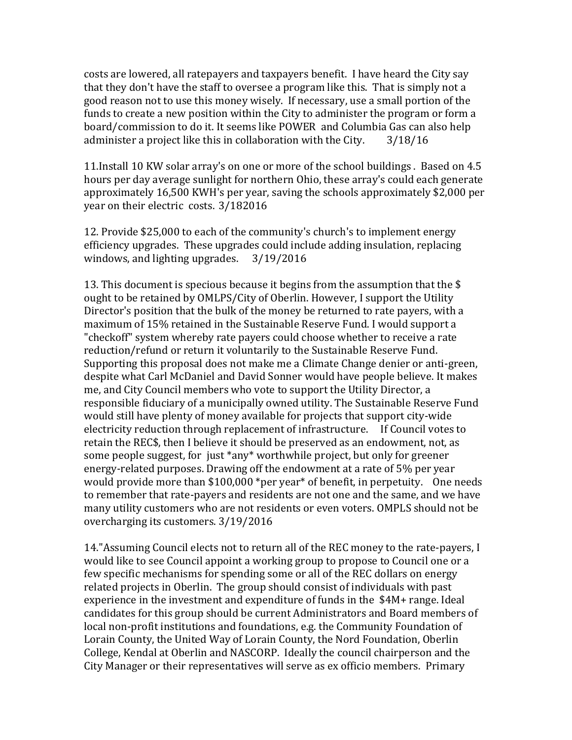costs are lowered, all ratepayers and taxpayers benefit. I have heard the City say that they don't have the staff to oversee a program like this. That is simply not a good reason not to use this money wisely. If necessary, use a small portion of the funds to create a new position within the City to administer the program or form a board/commission to do it. It seems like POWER and Columbia Gas can also help administer a project like this in collaboration with the City. 3/18/16

11.Install 10 KW solar array's on one or more of the school buildings . Based on 4.5 hours per day average sunlight for northern Ohio, these array's could each generate approximately 16,500 KWH's per year, saving the schools approximately \$2,000 per year on their electric costs. 3/182016

12. Provide \$25,000 to each of the community's church's to implement energy efficiency upgrades. These upgrades could include adding insulation, replacing windows, and lighting upgrades. 3/19/2016

13. This document is specious because it begins from the assumption that the \$ ought to be retained by OMLPS/City of Oberlin. However, I support the Utility Director's position that the bulk of the money be returned to rate payers, with a maximum of 15% retained in the Sustainable Reserve Fund. I would support a "checkoff" system whereby rate payers could choose whether to receive a rate reduction/refund or return it voluntarily to the Sustainable Reserve Fund. Supporting this proposal does not make me a Climate Change denier or anti-green, despite what Carl McDaniel and David Sonner would have people believe. It makes me, and City Council members who vote to support the Utility Director, a responsible fiduciary of a municipally owned utility. The Sustainable Reserve Fund would still have plenty of money available for projects that support city-wide electricity reduction through replacement of infrastructure. If Council votes to retain the REC\$, then I believe it should be preserved as an endowment, not, as some people suggest, for just \*any\* worthwhile project, but only for greener energy-related purposes. Drawing off the endowment at a rate of 5% per year would provide more than \$100,000 \*per year\* of benefit, in perpetuity. One needs to remember that rate-payers and residents are not one and the same, and we have many utility customers who are not residents or even voters. OMPLS should not be overcharging its customers. 3/19/2016

14."Assuming Council elects not to return all of the REC money to the rate-payers, I would like to see Council appoint a working group to propose to Council one or a few specific mechanisms for spending some or all of the REC dollars on energy related projects in Oberlin. The group should consist of individuals with past experience in the investment and expenditure of funds in the \$4M+ range. Ideal candidates for this group should be current Administrators and Board members of local non-profit institutions and foundations, e.g. the Community Foundation of Lorain County, the United Way of Lorain County, the Nord Foundation, Oberlin College, Kendal at Oberlin and NASCORP. Ideally the council chairperson and the City Manager or their representatives will serve as ex officio members. Primary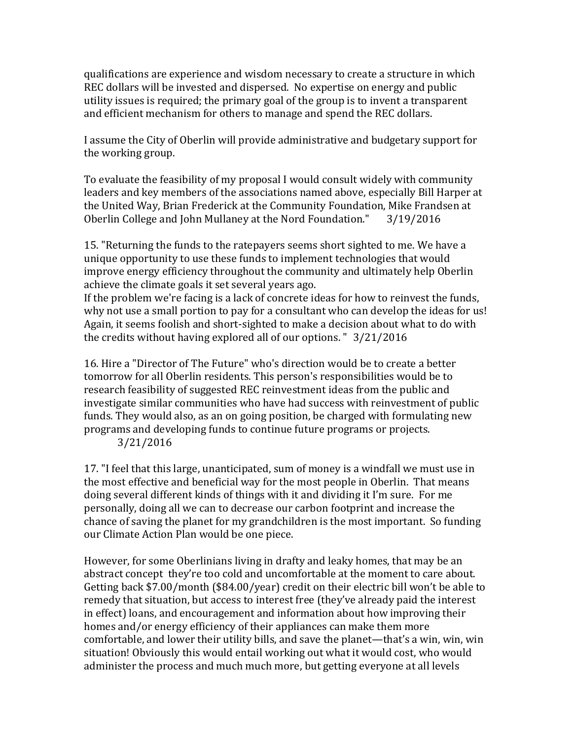qualifications are experience and wisdom necessary to create a structure in which REC dollars will be invested and dispersed. No expertise on energy and public utility issues is required; the primary goal of the group is to invent a transparent and efficient mechanism for others to manage and spend the REC dollars.

I assume the City of Oberlin will provide administrative and budgetary support for the working group.

To evaluate the feasibility of my proposal I would consult widely with community leaders and key members of the associations named above, especially Bill Harper at the United Way, Brian Frederick at the Community Foundation, Mike Frandsen at Oberlin College and John Mullaney at the Nord Foundation." 3/19/2016

15. "Returning the funds to the ratepayers seems short sighted to me. We have a unique opportunity to use these funds to implement technologies that would improve energy efficiency throughout the community and ultimately help Oberlin achieve the climate goals it set several years ago.

If the problem we're facing is a lack of concrete ideas for how to reinvest the funds, why not use a small portion to pay for a consultant who can develop the ideas for us! Again, it seems foolish and short-sighted to make a decision about what to do with the credits without having explored all of our options. " 3/21/2016

16. Hire a "Director of The Future" who's direction would be to create a better tomorrow for all Oberlin residents. This person's responsibilities would be to research feasibility of suggested REC reinvestment ideas from the public and investigate similar communities who have had success with reinvestment of public funds. They would also, as an on going position, be charged with formulating new programs and developing funds to continue future programs or projects.

3/21/2016

17. "I feel that this large, unanticipated, sum of money is a windfall we must use in the most effective and beneficial way for the most people in Oberlin. That means doing several different kinds of things with it and dividing it I'm sure. For me personally, doing all we can to decrease our carbon footprint and increase the chance of saving the planet for my grandchildren is the most important. So funding our Climate Action Plan would be one piece.

However, for some Oberlinians living in drafty and leaky homes, that may be an abstract concept they're too cold and uncomfortable at the moment to care about. Getting back \$7.00/month (\$84.00/year) credit on their electric bill won't be able to remedy that situation, but access to interest free (they've already paid the interest in effect) loans, and encouragement and information about how improving their homes and/or energy efficiency of their appliances can make them more comfortable, and lower their utility bills, and save the planet—that's a win, win, win situation! Obviously this would entail working out what it would cost, who would administer the process and much much more, but getting everyone at all levels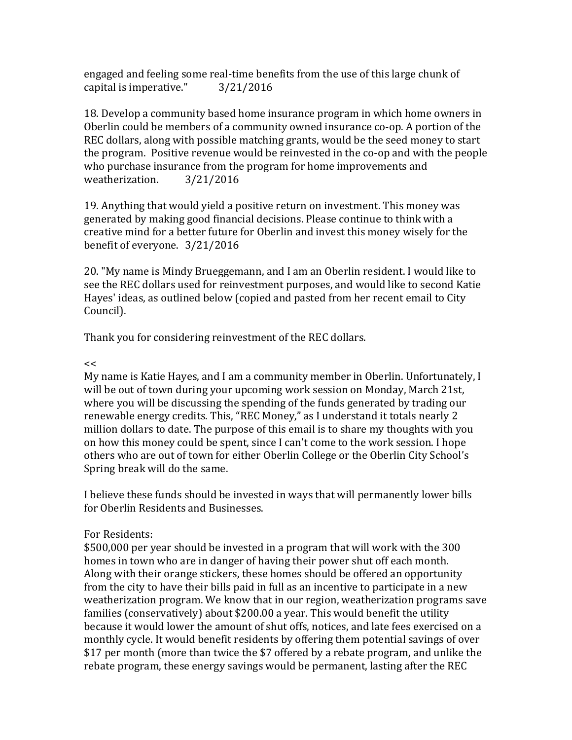engaged and feeling some real-time benefits from the use of this large chunk of capital is imperative." 3/21/2016

18. Develop a community based home insurance program in which home owners in Oberlin could be members of a community owned insurance co-op. A portion of the REC dollars, along with possible matching grants, would be the seed money to start the program. Positive revenue would be reinvested in the co-op and with the people who purchase insurance from the program for home improvements and weatherization. 3/21/2016

19. Anything that would yield a positive return on investment. This money was generated by making good financial decisions. Please continue to think with a creative mind for a better future for Oberlin and invest this money wisely for the benefit of everyone. 3/21/2016

20. "My name is Mindy Brueggemann, and I am an Oberlin resident. I would like to see the REC dollars used for reinvestment purposes, and would like to second Katie Hayes' ideas, as outlined below (copied and pasted from her recent email to City Council).

Thank you for considering reinvestment of the REC dollars.

## $\lt$

My name is Katie Hayes, and I am a community member in Oberlin. Unfortunately, I will be out of town during your upcoming work session on Monday, March 21st, where you will be discussing the spending of the funds generated by trading our renewable energy credits. This, "REC Money," as I understand it totals nearly 2 million dollars to date. The purpose of this email is to share my thoughts with you on how this money could be spent, since I can't come to the work session. I hope others who are out of town for either Oberlin College or the Oberlin City School's Spring break will do the same.

I believe these funds should be invested in ways that will permanently lower bills for Oberlin Residents and Businesses.

## For Residents:

\$500,000 per year should be invested in a program that will work with the 300 homes in town who are in danger of having their power shut off each month. Along with their orange stickers, these homes should be offered an opportunity from the city to have their bills paid in full as an incentive to participate in a new weatherization program. We know that in our region, weatherization programs save families (conservatively) about \$200.00 a year. This would benefit the utility because it would lower the amount of shut offs, notices, and late fees exercised on a monthly cycle. It would benefit residents by offering them potential savings of over \$17 per month (more than twice the \$7 offered by a rebate program, and unlike the rebate program, these energy savings would be permanent, lasting after the REC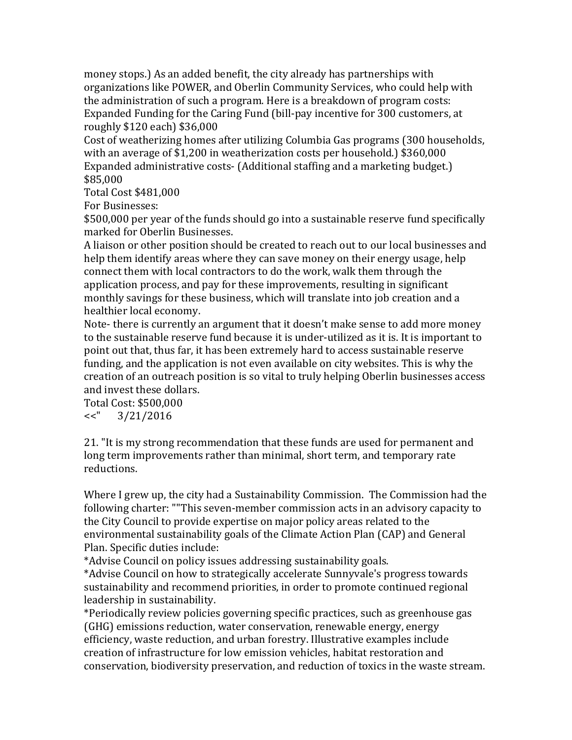money stops.) As an added benefit, the city already has partnerships with organizations like POWER, and Oberlin Community Services, who could help with the administration of such a program. Here is a breakdown of program costs: Expanded Funding for the Caring Fund (bill-pay incentive for 300 customers, at roughly \$120 each) \$36,000

Cost of weatherizing homes after utilizing Columbia Gas programs (300 households, with an average of \$1,200 in weatherization costs per household.) \$360,000 Expanded administrative costs- (Additional staffing and a marketing budget.) \$85,000

Total Cost \$481,000

For Businesses:

\$500,000 per year of the funds should go into a sustainable reserve fund specifically marked for Oberlin Businesses.

A liaison or other position should be created to reach out to our local businesses and help them identify areas where they can save money on their energy usage, help connect them with local contractors to do the work, walk them through the application process, and pay for these improvements, resulting in significant monthly savings for these business, which will translate into job creation and a healthier local economy.

Note- there is currently an argument that it doesn't make sense to add more money to the sustainable reserve fund because it is under-utilized as it is. It is important to point out that, thus far, it has been extremely hard to access sustainable reserve funding, and the application is not even available on city websites. This is why the creation of an outreach position is so vital to truly helping Oberlin businesses access and invest these dollars.

Total Cost: \$500,000 <<" 3/21/2016

21. "It is my strong recommendation that these funds are used for permanent and long term improvements rather than minimal, short term, and temporary rate reductions.

Where I grew up, the city had a Sustainability Commission. The Commission had the following charter: ""This seven-member commission acts in an advisory capacity to the City Council to provide expertise on major policy areas related to the environmental sustainability goals of the Climate Action Plan (CAP) and General Plan. Specific duties include:

\*Advise Council on policy issues addressing sustainability goals.

\*Advise Council on how to strategically accelerate Sunnyvale's progress towards sustainability and recommend priorities, in order to promote continued regional leadership in sustainability.

\*Periodically review policies governing specific practices, such as greenhouse gas (GHG) emissions reduction, water conservation, renewable energy, energy efficiency, waste reduction, and urban forestry. Illustrative examples include creation of infrastructure for low emission vehicles, habitat restoration and conservation, biodiversity preservation, and reduction of toxics in the waste stream.